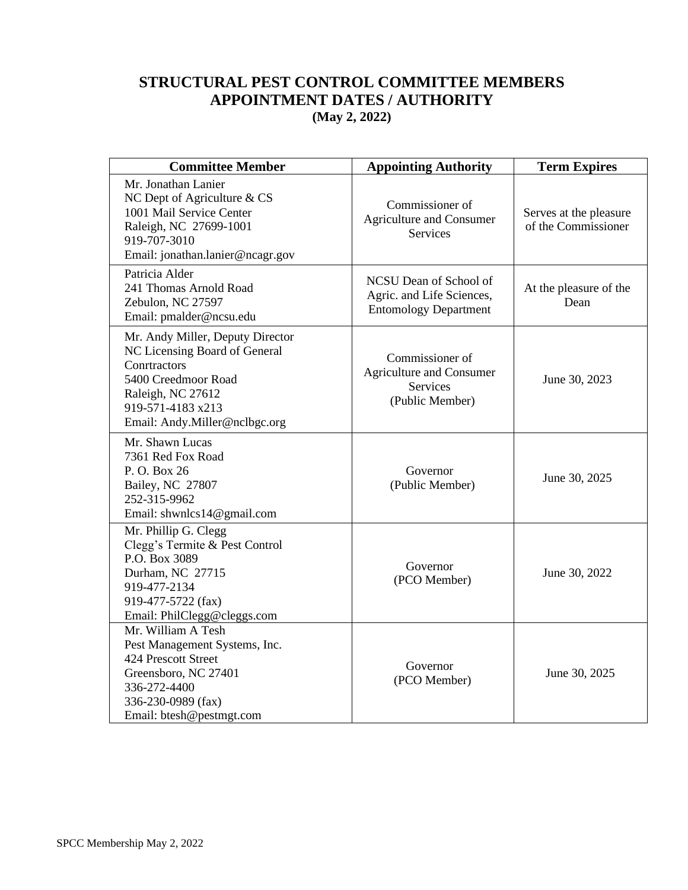## **STRUCTURAL PEST CONTROL COMMITTEE MEMBERS APPOINTMENT DATES / AUTHORITY (May 2, 2022)**

| <b>Committee Member</b>                                                                                                                                                             | <b>Appointing Authority</b>                                                              | <b>Term Expires</b>                           |
|-------------------------------------------------------------------------------------------------------------------------------------------------------------------------------------|------------------------------------------------------------------------------------------|-----------------------------------------------|
| Mr. Jonathan Lanier<br>NC Dept of Agriculture & CS<br>1001 Mail Service Center<br>Raleigh, NC 27699-1001<br>919-707-3010<br>Email: jonathan.lanier@ncagr.gov                        | Commissioner of<br><b>Agriculture and Consumer</b><br><b>Services</b>                    | Serves at the pleasure<br>of the Commissioner |
| Patricia Alder<br>241 Thomas Arnold Road<br>Zebulon, NC 27597<br>Email: pmalder@ncsu.edu                                                                                            | NCSU Dean of School of<br>Agric. and Life Sciences,<br><b>Entomology Department</b>      | At the pleasure of the<br>Dean                |
| Mr. Andy Miller, Deputy Director<br>NC Licensing Board of General<br>Conrtractors<br>5400 Creedmoor Road<br>Raleigh, NC 27612<br>919-571-4183 x213<br>Email: Andy.Miller@nclbgc.org | Commissioner of<br><b>Agriculture and Consumer</b><br><b>Services</b><br>(Public Member) | June 30, 2023                                 |
| Mr. Shawn Lucas<br>7361 Red Fox Road<br>P.O. Box 26<br>Bailey, NC 27807<br>252-315-9962<br>Email: shwnlcs14@gmail.com                                                               | Governor<br>(Public Member)                                                              | June 30, 2025                                 |
| Mr. Phillip G. Clegg<br>Clegg's Termite & Pest Control<br>P.O. Box 3089<br>Durham, NC 27715<br>919-477-2134<br>919-477-5722 (fax)<br>Email: PhilClegg@cleggs.com                    | Governor<br>(PCO Member)                                                                 | June 30, 2022                                 |
| Mr. William A Tesh<br>Pest Management Systems, Inc.<br>424 Prescott Street<br>Greensboro, NC 27401<br>336-272-4400<br>336-230-0989 (fax)<br>Email: btesh@pestmgt.com                | Governor<br>(PCO Member)                                                                 | June 30, 2025                                 |